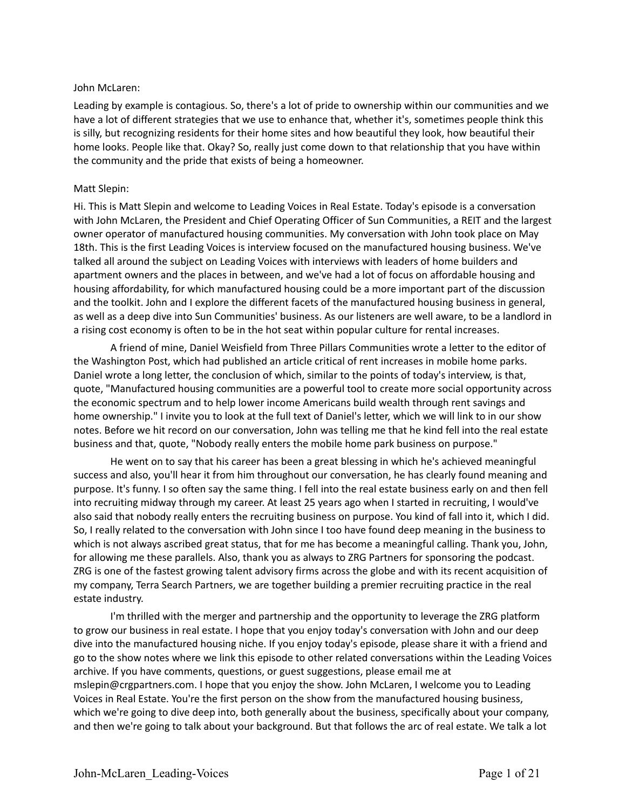### John McLaren:

Leading by example is contagious. So, there's a lot of pride to ownership within our communities and we have a lot of different strategies that we use to enhance that, whether it's, sometimes people think this is silly, but recognizing residents for their home sites and how beautiful they look, how beautiful their home looks. People like that. Okay? So, really just come down to that relationship that you have within the community and the pride that exists of being a homeowner.

### Matt Slepin:

Hi. This is Matt Slepin and welcome to Leading Voices in Real Estate. Today's episode is a conversation with John McLaren, the President and Chief Operating Officer of Sun Communities, a REIT and the largest owner operator of manufactured housing communities. My conversation with John took place on May 18th. This is the first Leading Voices is interview focused on the manufactured housing business. We've talked all around the subject on Leading Voices with interviews with leaders of home builders and apartment owners and the places in between, and we've had a lot of focus on affordable housing and housing affordability, for which manufactured housing could be a more important part of the discussion and the toolkit. John and I explore the different facets of the manufactured housing business in general, as well as a deep dive into Sun Communities' business. As our listeners are well aware, to be a landlord in a rising cost economy is often to be in the hot seat within popular culture for rental increases.

A friend of mine, Daniel Weisfield from Three Pillars Communities wrote a letter to the editor of the Washington Post, which had published an article critical of rent increases in mobile home parks. Daniel wrote a long letter, the conclusion of which, similar to the points of today's interview, is that, quote, "Manufactured housing communities are a powerful tool to create more social opportunity across the economic spectrum and to help lower income Americans build wealth through rent savings and home ownership." I invite you to look at the full text of Daniel's letter, which we will link to in our show notes. Before we hit record on our conversation, John was telling me that he kind fell into the real estate business and that, quote, "Nobody really enters the mobile home park business on purpose."

He went on to say that his career has been a great blessing in which he's achieved meaningful success and also, you'll hear it from him throughout our conversation, he has clearly found meaning and purpose. It's funny. I so often say the same thing. I fell into the real estate business early on and then fell into recruiting midway through my career. At least 25 years ago when I started in recruiting, I would've also said that nobody really enters the recruiting business on purpose. You kind of fall into it, which I did. So, I really related to the conversation with John since I too have found deep meaning in the business to which is not always ascribed great status, that for me has become a meaningful calling. Thank you, John, for allowing me these parallels. Also, thank you as always to ZRG Partners for sponsoring the podcast. ZRG is one of the fastest growing talent advisory firms across the globe and with its recent acquisition of my company, Terra Search Partners, we are together building a premier recruiting practice in the real estate industry.

I'm thrilled with the merger and partnership and the opportunity to leverage the ZRG platform to grow our business in real estate. I hope that you enjoy today's conversation with John and our deep dive into the manufactured housing niche. If you enjoy today's episode, please share it with a friend and go to the show notes where we link this episode to other related conversations within the Leading Voices archive. If you have comments, questions, or guest suggestions, please email me at mslepin@crgpartners.com. I hope that you enjoy the show. John McLaren, I welcome you to Leading Voices in Real Estate. You're the first person on the show from the manufactured housing business, which we're going to dive deep into, both generally about the business, specifically about your company, and then we're going to talk about your background. But that follows the arc of real estate. We talk a lot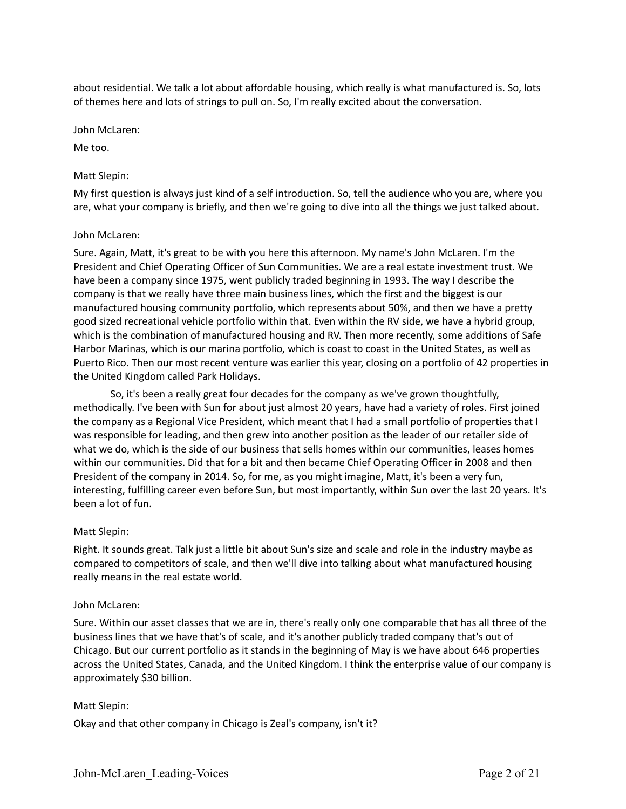about residential. We talk a lot about affordable housing, which really is what manufactured is. So, lots of themes here and lots of strings to pull on. So, I'm really excited about the conversation.

John McLaren:

Me too.

### Matt Slepin:

My first question is always just kind of a self introduction. So, tell the audience who you are, where you are, what your company is briefly, and then we're going to dive into all the things we just talked about.

#### John McLaren:

Sure. Again, Matt, it's great to be with you here this afternoon. My name's John McLaren. I'm the President and Chief Operating Officer of Sun Communities. We are a real estate investment trust. We have been a company since 1975, went publicly traded beginning in 1993. The way I describe the company is that we really have three main business lines, which the first and the biggest is our manufactured housing community portfolio, which represents about 50%, and then we have a pretty good sized recreational vehicle portfolio within that. Even within the RV side, we have a hybrid group, which is the combination of manufactured housing and RV. Then more recently, some additions of Safe Harbor Marinas, which is our marina portfolio, which is coast to coast in the United States, as well as Puerto Rico. Then our most recent venture was earlier this year, closing on a portfolio of 42 properties in the United Kingdom called Park Holidays.

So, it's been a really great four decades for the company as we've grown thoughtfully, methodically. I've been with Sun for about just almost 20 years, have had a variety of roles. First joined the company as a Regional Vice President, which meant that I had a small portfolio of properties that I was responsible for leading, and then grew into another position as the leader of our retailer side of what we do, which is the side of our business that sells homes within our communities, leases homes within our communities. Did that for a bit and then became Chief Operating Officer in 2008 and then President of the company in 2014. So, for me, as you might imagine, Matt, it's been a very fun, interesting, fulfilling career even before Sun, but most importantly, within Sun over the last 20 years. It's been a lot of fun.

#### Matt Slepin:

Right. It sounds great. Talk just a little bit about Sun's size and scale and role in the industry maybe as compared to competitors of scale, and then we'll dive into talking about what manufactured housing really means in the real estate world.

#### John McLaren:

Sure. Within our asset classes that we are in, there's really only one comparable that has all three of the business lines that we have that's of scale, and it's another publicly traded company that's out of Chicago. But our current portfolio as it stands in the beginning of May is we have about 646 properties across the United States, Canada, and the United Kingdom. I think the enterprise value of our company is approximately \$30 billion.

#### Matt Slepin:

Okay and that other company in Chicago is Zeal's company, isn't it?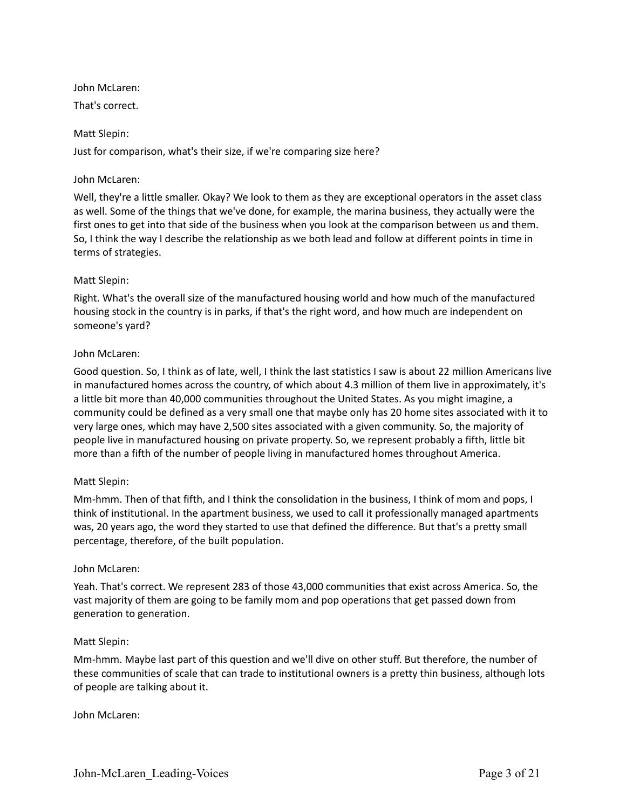John McLaren:

That's correct.

# Matt Slepin:

Just for comparison, what's their size, if we're comparing size here?

# John McLaren:

Well, they're a little smaller. Okay? We look to them as they are exceptional operators in the asset class as well. Some of the things that we've done, for example, the marina business, they actually were the first ones to get into that side of the business when you look at the comparison between us and them. So, I think the way I describe the relationship as we both lead and follow at different points in time in terms of strategies.

# Matt Slepin:

Right. What's the overall size of the manufactured housing world and how much of the manufactured housing stock in the country is in parks, if that's the right word, and how much are independent on someone's yard?

# John McLaren:

Good question. So, I think as of late, well, I think the last statistics I saw is about 22 million Americans live in manufactured homes across the country, of which about 4.3 million of them live in approximately, it's a little bit more than 40,000 communities throughout the United States. As you might imagine, a community could be defined as a very small one that maybe only has 20 home sites associated with it to very large ones, which may have 2,500 sites associated with a given community. So, the majority of people live in manufactured housing on private property. So, we represent probably a fifth, little bit more than a fifth of the number of people living in manufactured homes throughout America.

# Matt Slepin:

Mm-hmm. Then of that fifth, and I think the consolidation in the business, I think of mom and pops, I think of institutional. In the apartment business, we used to call it professionally managed apartments was, 20 years ago, the word they started to use that defined the difference. But that's a pretty small percentage, therefore, of the built population.

# John McLaren:

Yeah. That's correct. We represent 283 of those 43,000 communities that exist across America. So, the vast majority of them are going to be family mom and pop operations that get passed down from generation to generation.

# Matt Slepin:

Mm-hmm. Maybe last part of this question and we'll dive on other stuff. But therefore, the number of these communities of scale that can trade to institutional owners is a pretty thin business, although lots of people are talking about it.

John McLaren: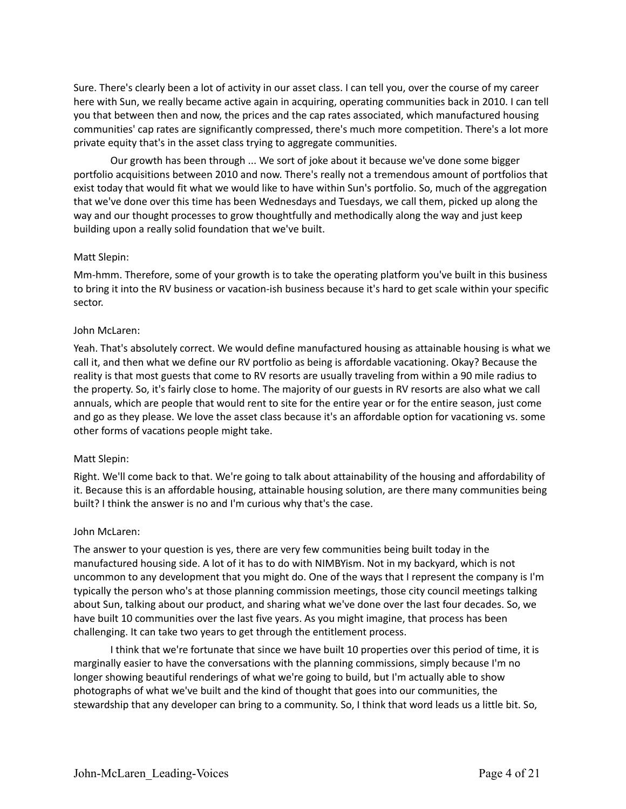Sure. There's clearly been a lot of activity in our asset class. I can tell you, over the course of my career here with Sun, we really became active again in acquiring, operating communities back in 2010. I can tell you that between then and now, the prices and the cap rates associated, which manufactured housing communities' cap rates are significantly compressed, there's much more competition. There's a lot more private equity that's in the asset class trying to aggregate communities.

Our growth has been through ... We sort of joke about it because we've done some bigger portfolio acquisitions between 2010 and now. There's really not a tremendous amount of portfolios that exist today that would fit what we would like to have within Sun's portfolio. So, much of the aggregation that we've done over this time has been Wednesdays and Tuesdays, we call them, picked up along the way and our thought processes to grow thoughtfully and methodically along the way and just keep building upon a really solid foundation that we've built.

### Matt Slepin:

Mm-hmm. Therefore, some of your growth is to take the operating platform you've built in this business to bring it into the RV business or vacation-ish business because it's hard to get scale within your specific sector.

### John McLaren:

Yeah. That's absolutely correct. We would define manufactured housing as attainable housing is what we call it, and then what we define our RV portfolio as being is affordable vacationing. Okay? Because the reality is that most guests that come to RV resorts are usually traveling from within a 90 mile radius to the property. So, it's fairly close to home. The majority of our guests in RV resorts are also what we call annuals, which are people that would rent to site for the entire year or for the entire season, just come and go as they please. We love the asset class because it's an affordable option for vacationing vs. some other forms of vacations people might take.

#### Matt Slepin:

Right. We'll come back to that. We're going to talk about attainability of the housing and affordability of it. Because this is an affordable housing, attainable housing solution, are there many communities being built? I think the answer is no and I'm curious why that's the case.

#### John McLaren:

The answer to your question is yes, there are very few communities being built today in the manufactured housing side. A lot of it has to do with NIMBYism. Not in my backyard, which is not uncommon to any development that you might do. One of the ways that I represent the company is I'm typically the person who's at those planning commission meetings, those city council meetings talking about Sun, talking about our product, and sharing what we've done over the last four decades. So, we have built 10 communities over the last five years. As you might imagine, that process has been challenging. It can take two years to get through the entitlement process.

I think that we're fortunate that since we have built 10 properties over this period of time, it is marginally easier to have the conversations with the planning commissions, simply because I'm no longer showing beautiful renderings of what we're going to build, but I'm actually able to show photographs of what we've built and the kind of thought that goes into our communities, the stewardship that any developer can bring to a community. So, I think that word leads us a little bit. So,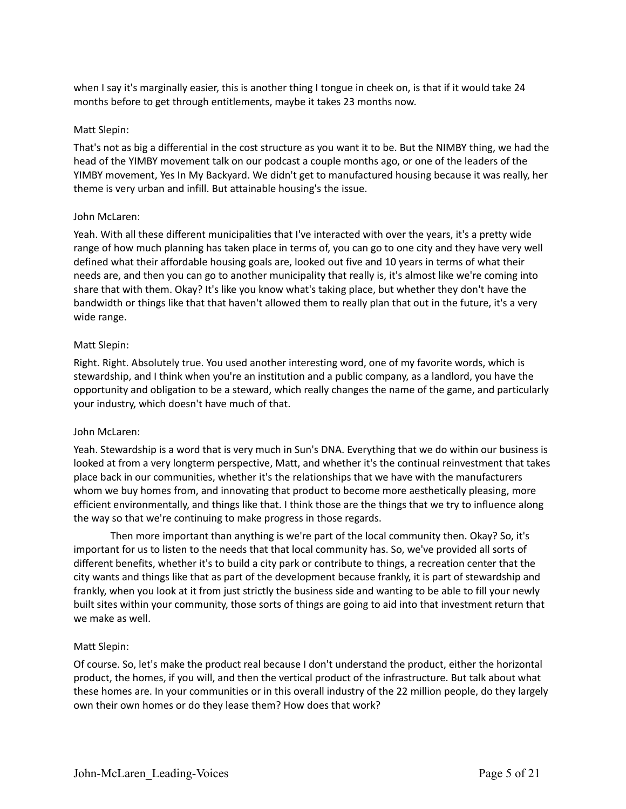when I say it's marginally easier, this is another thing I tongue in cheek on, is that if it would take 24 months before to get through entitlements, maybe it takes 23 months now.

# Matt Slepin:

That's not as big a differential in the cost structure as you want it to be. But the NIMBY thing, we had the head of the YIMBY movement talk on our podcast a couple months ago, or one of the leaders of the YIMBY movement, Yes In My Backyard. We didn't get to manufactured housing because it was really, her theme is very urban and infill. But attainable housing's the issue.

### John McLaren:

Yeah. With all these different municipalities that I've interacted with over the years, it's a pretty wide range of how much planning has taken place in terms of, you can go to one city and they have very well defined what their affordable housing goals are, looked out five and 10 years in terms of what their needs are, and then you can go to another municipality that really is, it's almost like we're coming into share that with them. Okay? It's like you know what's taking place, but whether they don't have the bandwidth or things like that that haven't allowed them to really plan that out in the future, it's a very wide range.

### Matt Slepin:

Right. Right. Absolutely true. You used another interesting word, one of my favorite words, which is stewardship, and I think when you're an institution and a public company, as a landlord, you have the opportunity and obligation to be a steward, which really changes the name of the game, and particularly your industry, which doesn't have much of that.

#### John McLaren:

Yeah. Stewardship is a word that is very much in Sun's DNA. Everything that we do within our business is looked at from a very longterm perspective, Matt, and whether it's the continual reinvestment that takes place back in our communities, whether it's the relationships that we have with the manufacturers whom we buy homes from, and innovating that product to become more aesthetically pleasing, more efficient environmentally, and things like that. I think those are the things that we try to influence along the way so that we're continuing to make progress in those regards.

Then more important than anything is we're part of the local community then. Okay? So, it's important for us to listen to the needs that that local community has. So, we've provided all sorts of different benefits, whether it's to build a city park or contribute to things, a recreation center that the city wants and things like that as part of the development because frankly, it is part of stewardship and frankly, when you look at it from just strictly the business side and wanting to be able to fill your newly built sites within your community, those sorts of things are going to aid into that investment return that we make as well.

#### Matt Slepin:

Of course. So, let's make the product real because I don't understand the product, either the horizontal product, the homes, if you will, and then the vertical product of the infrastructure. But talk about what these homes are. In your communities or in this overall industry of the 22 million people, do they largely own their own homes or do they lease them? How does that work?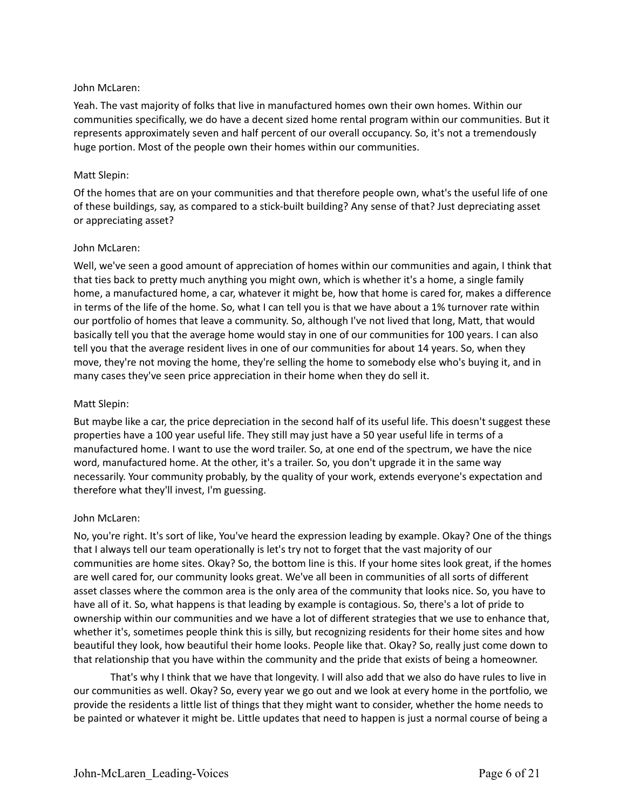### John McLaren:

Yeah. The vast majority of folks that live in manufactured homes own their own homes. Within our communities specifically, we do have a decent sized home rental program within our communities. But it represents approximately seven and half percent of our overall occupancy. So, it's not a tremendously huge portion. Most of the people own their homes within our communities.

### Matt Slepin:

Of the homes that are on your communities and that therefore people own, what's the useful life of one of these buildings, say, as compared to a stick-built building? Any sense of that? Just depreciating asset or appreciating asset?

### John McLaren:

Well, we've seen a good amount of appreciation of homes within our communities and again, I think that that ties back to pretty much anything you might own, which is whether it's a home, a single family home, a manufactured home, a car, whatever it might be, how that home is cared for, makes a difference in terms of the life of the home. So, what I can tell you is that we have about a 1% turnover rate within our portfolio of homes that leave a community. So, although I've not lived that long, Matt, that would basically tell you that the average home would stay in one of our communities for 100 years. I can also tell you that the average resident lives in one of our communities for about 14 years. So, when they move, they're not moving the home, they're selling the home to somebody else who's buying it, and in many cases they've seen price appreciation in their home when they do sell it.

### Matt Slepin:

But maybe like a car, the price depreciation in the second half of its useful life. This doesn't suggest these properties have a 100 year useful life. They still may just have a 50 year useful life in terms of a manufactured home. I want to use the word trailer. So, at one end of the spectrum, we have the nice word, manufactured home. At the other, it's a trailer. So, you don't upgrade it in the same way necessarily. Your community probably, by the quality of your work, extends everyone's expectation and therefore what they'll invest, I'm guessing.

#### John McLaren:

No, you're right. It's sort of like, You've heard the expression leading by example. Okay? One of the things that I always tell our team operationally is let's try not to forget that the vast majority of our communities are home sites. Okay? So, the bottom line is this. If your home sites look great, if the homes are well cared for, our community looks great. We've all been in communities of all sorts of different asset classes where the common area is the only area of the community that looks nice. So, you have to have all of it. So, what happens is that leading by example is contagious. So, there's a lot of pride to ownership within our communities and we have a lot of different strategies that we use to enhance that, whether it's, sometimes people think this is silly, but recognizing residents for their home sites and how beautiful they look, how beautiful their home looks. People like that. Okay? So, really just come down to that relationship that you have within the community and the pride that exists of being a homeowner.

That's why I think that we have that longevity. I will also add that we also do have rules to live in our communities as well. Okay? So, every year we go out and we look at every home in the portfolio, we provide the residents a little list of things that they might want to consider, whether the home needs to be painted or whatever it might be. Little updates that need to happen is just a normal course of being a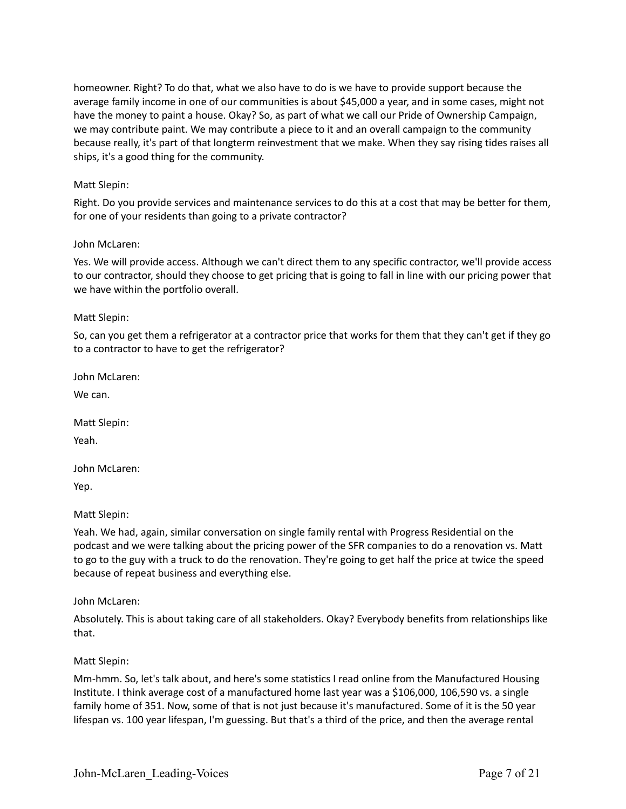homeowner. Right? To do that, what we also have to do is we have to provide support because the average family income in one of our communities is about \$45,000 a year, and in some cases, might not have the money to paint a house. Okay? So, as part of what we call our Pride of Ownership Campaign, we may contribute paint. We may contribute a piece to it and an overall campaign to the community because really, it's part of that longterm reinvestment that we make. When they say rising tides raises all ships, it's a good thing for the community.

# Matt Slepin:

Right. Do you provide services and maintenance services to do this at a cost that may be better for them, for one of your residents than going to a private contractor?

# John McLaren:

Yes. We will provide access. Although we can't direct them to any specific contractor, we'll provide access to our contractor, should they choose to get pricing that is going to fall in line with our pricing power that we have within the portfolio overall.

# Matt Slepin:

So, can you get them a refrigerator at a contractor price that works for them that they can't get if they go to a contractor to have to get the refrigerator?

John McLaren:

We can.

Matt Slepin:

Yeah.

John McLaren:

Yep.

Matt Slepin:

Yeah. We had, again, similar conversation on single family rental with Progress Residential on the podcast and we were talking about the pricing power of the SFR companies to do a renovation vs. Matt to go to the guy with a truck to do the renovation. They're going to get half the price at twice the speed because of repeat business and everything else.

John McLaren:

Absolutely. This is about taking care of all stakeholders. Okay? Everybody benefits from relationships like that.

# Matt Slepin:

Mm-hmm. So, let's talk about, and here's some statistics I read online from the Manufactured Housing Institute. I think average cost of a manufactured home last year was a \$106,000, 106,590 vs. a single family home of 351. Now, some of that is not just because it's manufactured. Some of it is the 50 year lifespan vs. 100 year lifespan, I'm guessing. But that's a third of the price, and then the average rental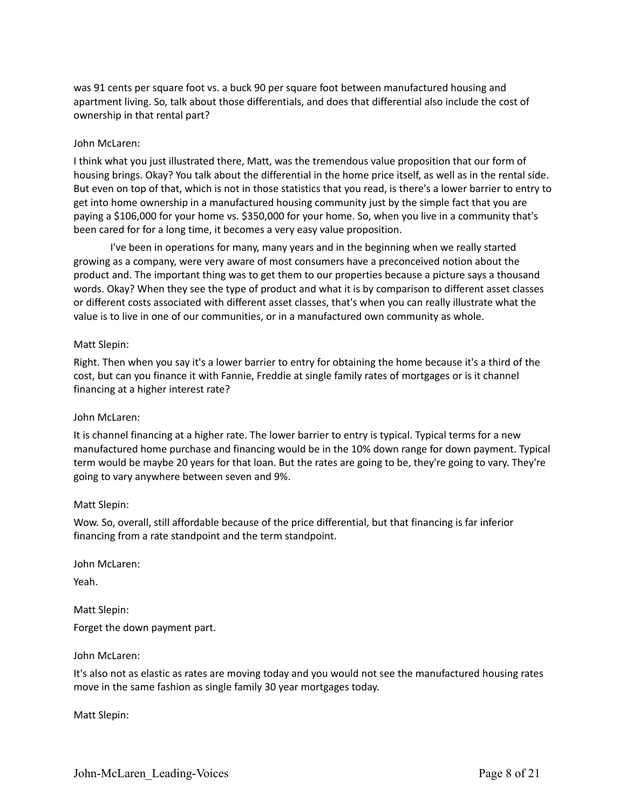was 91 cents per square foot vs. a buck 90 per square foot between manufactured housing and apartment living. So, talk about those differentials, and does that differential also include the cost of ownership in that rental part?

### John McLaren:

I think what you just illustrated there, Matt, was the tremendous value proposition that our form of housing brings. Okay? You talk about the differential in the home price itself, as well as in the rental side. But even on top of that, which is not in those statistics that you read, is there's a lower barrier to entry to get into home ownership in a manufactured housing community just by the simple fact that you are paying a \$106,000 for your home vs. \$350,000 for your home. So, when you live in a community that's been cared for for a long time, it becomes a very easy value proposition.

I've been in operations for many, many years and in the beginning when we really started growing as a company, were very aware of most consumers have a preconceived notion about the product and. The important thing was to get them to our properties because a picture says a thousand words. Okay? When they see the type of product and what it is by comparison to different asset classes or different costs associated with different asset classes, that's when you can really illustrate what the value is to live in one of our communities, or in a manufactured own community as whole.

### Matt Slepin:

Right. Then when you say it's a lower barrier to entry for obtaining the home because it's a third of the cost, but can you finance it with Fannie, Freddie at single family rates of mortgages or is it channel financing at a higher interest rate?

#### John McLaren:

It is channel financing at a higher rate. The lower barrier to entry is typical. Typical terms for a new manufactured home purchase and financing would be in the 10% down range for down payment. Typical term would be maybe 20 years for that loan. But the rates are going to be, they're going to vary. They're going to vary anywhere between seven and 9%.

#### Matt Slepin:

Wow. So, overall, still affordable because of the price differential, but that financing is far inferior financing from a rate standpoint and the term standpoint.

John McLaren:

Yeah.

Matt Slepin: Forget the down payment part.

#### John McLaren:

It's also not as elastic as rates are moving today and you would not see the manufactured housing rates move in the same fashion as single family 30 year mortgages today.

Matt Slepin: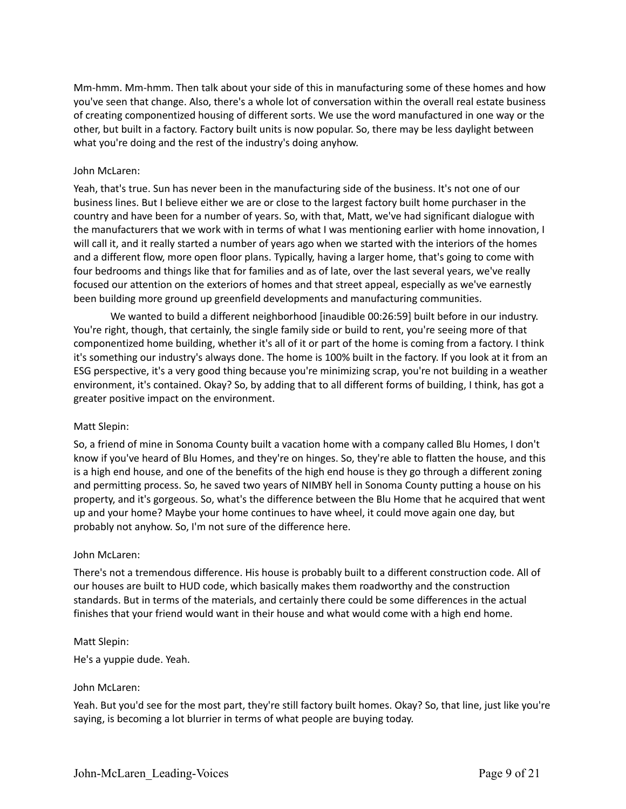Mm-hmm. Mm-hmm. Then talk about your side of this in manufacturing some of these homes and how you've seen that change. Also, there's a whole lot of conversation within the overall real estate business of creating componentized housing of different sorts. We use the word manufactured in one way or the other, but built in a factory. Factory built units is now popular. So, there may be less daylight between what you're doing and the rest of the industry's doing anyhow.

### John McLaren:

Yeah, that's true. Sun has never been in the manufacturing side of the business. It's not one of our business lines. But I believe either we are or close to the largest factory built home purchaser in the country and have been for a number of years. So, with that, Matt, we've had significant dialogue with the manufacturers that we work with in terms of what I was mentioning earlier with home innovation, I will call it, and it really started a number of years ago when we started with the interiors of the homes and a different flow, more open floor plans. Typically, having a larger home, that's going to come with four bedrooms and things like that for families and as of late, over the last several years, we've really focused our attention on the exteriors of homes and that street appeal, especially as we've earnestly been building more ground up greenfield developments and manufacturing communities.

We wanted to build a different neighborhood [inaudible 00:26:59] built before in our industry. You're right, though, that certainly, the single family side or build to rent, you're seeing more of that componentized home building, whether it's all of it or part of the home is coming from a factory. I think it's something our industry's always done. The home is 100% built in the factory. If you look at it from an ESG perspective, it's a very good thing because you're minimizing scrap, you're not building in a weather environment, it's contained. Okay? So, by adding that to all different forms of building, I think, has got a greater positive impact on the environment.

#### Matt Slepin:

So, a friend of mine in Sonoma County built a vacation home with a company called Blu Homes, I don't know if you've heard of Blu Homes, and they're on hinges. So, they're able to flatten the house, and this is a high end house, and one of the benefits of the high end house is they go through a different zoning and permitting process. So, he saved two years of NIMBY hell in Sonoma County putting a house on his property, and it's gorgeous. So, what's the difference between the Blu Home that he acquired that went up and your home? Maybe your home continues to have wheel, it could move again one day, but probably not anyhow. So, I'm not sure of the difference here.

#### John McLaren:

There's not a tremendous difference. His house is probably built to a different construction code. All of our houses are built to HUD code, which basically makes them roadworthy and the construction standards. But in terms of the materials, and certainly there could be some differences in the actual finishes that your friend would want in their house and what would come with a high end home.

#### Matt Slepin:

He's a yuppie dude. Yeah.

# John McLaren:

Yeah. But you'd see for the most part, they're still factory built homes. Okay? So, that line, just like you're saying, is becoming a lot blurrier in terms of what people are buying today.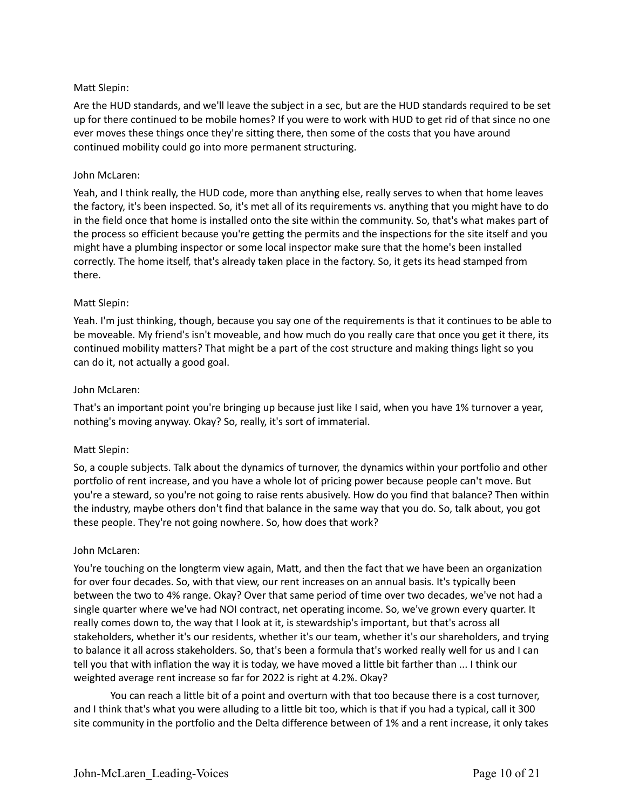# Matt Slepin:

Are the HUD standards, and we'll leave the subject in a sec, but are the HUD standards required to be set up for there continued to be mobile homes? If you were to work with HUD to get rid of that since no one ever moves these things once they're sitting there, then some of the costs that you have around continued mobility could go into more permanent structuring.

# John McLaren:

Yeah, and I think really, the HUD code, more than anything else, really serves to when that home leaves the factory, it's been inspected. So, it's met all of its requirements vs. anything that you might have to do in the field once that home is installed onto the site within the community. So, that's what makes part of the process so efficient because you're getting the permits and the inspections for the site itself and you might have a plumbing inspector or some local inspector make sure that the home's been installed correctly. The home itself, that's already taken place in the factory. So, it gets its head stamped from there.

# Matt Slepin:

Yeah. I'm just thinking, though, because you say one of the requirements is that it continues to be able to be moveable. My friend's isn't moveable, and how much do you really care that once you get it there, its continued mobility matters? That might be a part of the cost structure and making things light so you can do it, not actually a good goal.

# John McLaren:

That's an important point you're bringing up because just like I said, when you have 1% turnover a year, nothing's moving anyway. Okay? So, really, it's sort of immaterial.

# Matt Slepin:

So, a couple subjects. Talk about the dynamics of turnover, the dynamics within your portfolio and other portfolio of rent increase, and you have a whole lot of pricing power because people can't move. But you're a steward, so you're not going to raise rents abusively. How do you find that balance? Then within the industry, maybe others don't find that balance in the same way that you do. So, talk about, you got these people. They're not going nowhere. So, how does that work?

# John McLaren:

You're touching on the longterm view again, Matt, and then the fact that we have been an organization for over four decades. So, with that view, our rent increases on an annual basis. It's typically been between the two to 4% range. Okay? Over that same period of time over two decades, we've not had a single quarter where we've had NOI contract, net operating income. So, we've grown every quarter. It really comes down to, the way that I look at it, is stewardship's important, but that's across all stakeholders, whether it's our residents, whether it's our team, whether it's our shareholders, and trying to balance it all across stakeholders. So, that's been a formula that's worked really well for us and I can tell you that with inflation the way it is today, we have moved a little bit farther than ... I think our weighted average rent increase so far for 2022 is right at 4.2%. Okay?

You can reach a little bit of a point and overturn with that too because there is a cost turnover, and I think that's what you were alluding to a little bit too, which is that if you had a typical, call it 300 site community in the portfolio and the Delta difference between of 1% and a rent increase, it only takes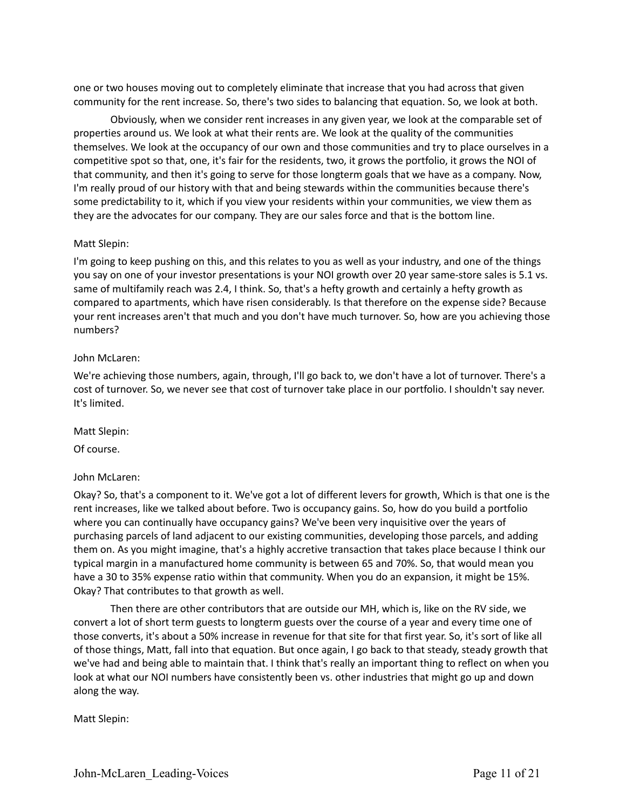one or two houses moving out to completely eliminate that increase that you had across that given community for the rent increase. So, there's two sides to balancing that equation. So, we look at both.

Obviously, when we consider rent increases in any given year, we look at the comparable set of properties around us. We look at what their rents are. We look at the quality of the communities themselves. We look at the occupancy of our own and those communities and try to place ourselves in a competitive spot so that, one, it's fair for the residents, two, it grows the portfolio, it grows the NOI of that community, and then it's going to serve for those longterm goals that we have as a company. Now, I'm really proud of our history with that and being stewards within the communities because there's some predictability to it, which if you view your residents within your communities, we view them as they are the advocates for our company. They are our sales force and that is the bottom line.

### Matt Slepin:

I'm going to keep pushing on this, and this relates to you as well as your industry, and one of the things you say on one of your investor presentations is your NOI growth over 20 year same-store sales is 5.1 vs. same of multifamily reach was 2.4, I think. So, that's a hefty growth and certainly a hefty growth as compared to apartments, which have risen considerably. Is that therefore on the expense side? Because your rent increases aren't that much and you don't have much turnover. So, how are you achieving those numbers?

### John McLaren:

We're achieving those numbers, again, through, I'll go back to, we don't have a lot of turnover. There's a cost of turnover. So, we never see that cost of turnover take place in our portfolio. I shouldn't say never. It's limited.

Matt Slepin:

Of course.

# John McLaren:

Okay? So, that's a component to it. We've got a lot of different levers for growth, Which is that one is the rent increases, like we talked about before. Two is occupancy gains. So, how do you build a portfolio where you can continually have occupancy gains? We've been very inquisitive over the years of purchasing parcels of land adjacent to our existing communities, developing those parcels, and adding them on. As you might imagine, that's a highly accretive transaction that takes place because I think our typical margin in a manufactured home community is between 65 and 70%. So, that would mean you have a 30 to 35% expense ratio within that community. When you do an expansion, it might be 15%. Okay? That contributes to that growth as well.

Then there are other contributors that are outside our MH, which is, like on the RV side, we convert a lot of short term guests to longterm guests over the course of a year and every time one of those converts, it's about a 50% increase in revenue for that site for that first year. So, it's sort of like all of those things, Matt, fall into that equation. But once again, I go back to that steady, steady growth that we've had and being able to maintain that. I think that's really an important thing to reflect on when you look at what our NOI numbers have consistently been vs. other industries that might go up and down along the way.

Matt Slepin: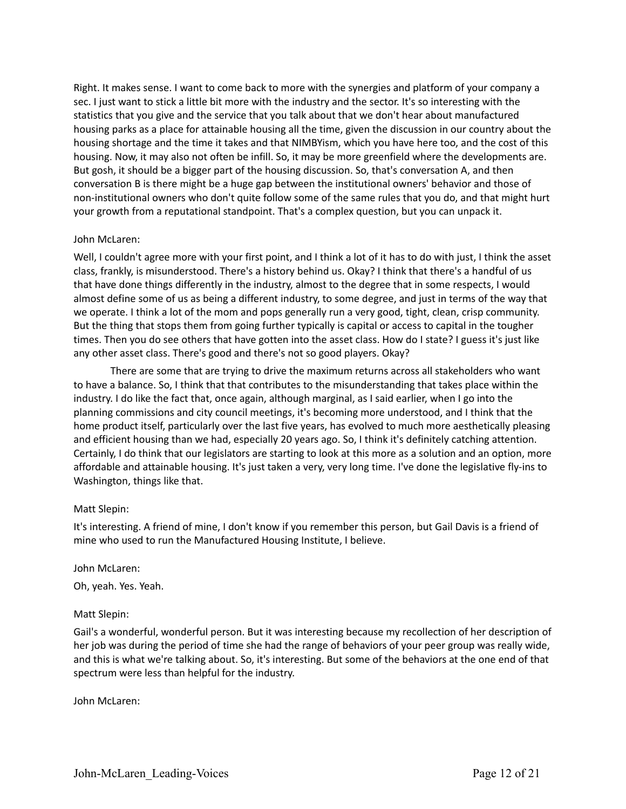Right. It makes sense. I want to come back to more with the synergies and platform of your company a sec. I just want to stick a little bit more with the industry and the sector. It's so interesting with the statistics that you give and the service that you talk about that we don't hear about manufactured housing parks as a place for attainable housing all the time, given the discussion in our country about the housing shortage and the time it takes and that NIMBYism, which you have here too, and the cost of this housing. Now, it may also not often be infill. So, it may be more greenfield where the developments are. But gosh, it should be a bigger part of the housing discussion. So, that's conversation A, and then conversation B is there might be a huge gap between the institutional owners' behavior and those of non-institutional owners who don't quite follow some of the same rules that you do, and that might hurt your growth from a reputational standpoint. That's a complex question, but you can unpack it.

# John McLaren:

Well, I couldn't agree more with your first point, and I think a lot of it has to do with just, I think the asset class, frankly, is misunderstood. There's a history behind us. Okay? I think that there's a handful of us that have done things differently in the industry, almost to the degree that in some respects, I would almost define some of us as being a different industry, to some degree, and just in terms of the way that we operate. I think a lot of the mom and pops generally run a very good, tight, clean, crisp community. But the thing that stops them from going further typically is capital or access to capital in the tougher times. Then you do see others that have gotten into the asset class. How do I state? I guess it's just like any other asset class. There's good and there's not so good players. Okay?

There are some that are trying to drive the maximum returns across all stakeholders who want to have a balance. So, I think that that contributes to the misunderstanding that takes place within the industry. I do like the fact that, once again, although marginal, as I said earlier, when I go into the planning commissions and city council meetings, it's becoming more understood, and I think that the home product itself, particularly over the last five years, has evolved to much more aesthetically pleasing and efficient housing than we had, especially 20 years ago. So, I think it's definitely catching attention. Certainly, I do think that our legislators are starting to look at this more as a solution and an option, more affordable and attainable housing. It's just taken a very, very long time. I've done the legislative fly-ins to Washington, things like that.

# Matt Slepin:

It's interesting. A friend of mine, I don't know if you remember this person, but Gail Davis is a friend of mine who used to run the Manufactured Housing Institute, I believe.

#### John McLaren:

Oh, yeah. Yes. Yeah.

# Matt Slepin:

Gail's a wonderful, wonderful person. But it was interesting because my recollection of her description of her job was during the period of time she had the range of behaviors of your peer group was really wide, and this is what we're talking about. So, it's interesting. But some of the behaviors at the one end of that spectrum were less than helpful for the industry.

John McLaren: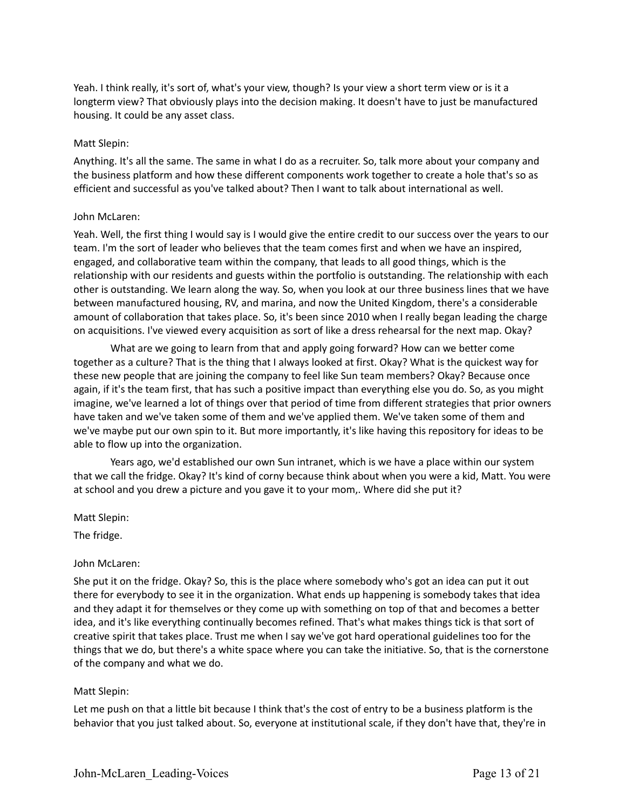Yeah. I think really, it's sort of, what's your view, though? Is your view a short term view or is it a longterm view? That obviously plays into the decision making. It doesn't have to just be manufactured housing. It could be any asset class.

### Matt Slepin:

Anything. It's all the same. The same in what I do as a recruiter. So, talk more about your company and the business platform and how these different components work together to create a hole that's so as efficient and successful as you've talked about? Then I want to talk about international as well.

### John McLaren:

Yeah. Well, the first thing I would say is I would give the entire credit to our success over the years to our team. I'm the sort of leader who believes that the team comes first and when we have an inspired, engaged, and collaborative team within the company, that leads to all good things, which is the relationship with our residents and guests within the portfolio is outstanding. The relationship with each other is outstanding. We learn along the way. So, when you look at our three business lines that we have between manufactured housing, RV, and marina, and now the United Kingdom, there's a considerable amount of collaboration that takes place. So, it's been since 2010 when I really began leading the charge on acquisitions. I've viewed every acquisition as sort of like a dress rehearsal for the next map. Okay?

What are we going to learn from that and apply going forward? How can we better come together as a culture? That is the thing that I always looked at first. Okay? What is the quickest way for these new people that are joining the company to feel like Sun team members? Okay? Because once again, if it's the team first, that has such a positive impact than everything else you do. So, as you might imagine, we've learned a lot of things over that period of time from different strategies that prior owners have taken and we've taken some of them and we've applied them. We've taken some of them and we've maybe put our own spin to it. But more importantly, it's like having this repository for ideas to be able to flow up into the organization.

Years ago, we'd established our own Sun intranet, which is we have a place within our system that we call the fridge. Okay? It's kind of corny because think about when you were a kid, Matt. You were at school and you drew a picture and you gave it to your mom,. Where did she put it?

Matt Slepin:

The fridge.

#### John McLaren:

She put it on the fridge. Okay? So, this is the place where somebody who's got an idea can put it out there for everybody to see it in the organization. What ends up happening is somebody takes that idea and they adapt it for themselves or they come up with something on top of that and becomes a better idea, and it's like everything continually becomes refined. That's what makes things tick is that sort of creative spirit that takes place. Trust me when I say we've got hard operational guidelines too for the things that we do, but there's a white space where you can take the initiative. So, that is the cornerstone of the company and what we do.

# Matt Slepin:

Let me push on that a little bit because I think that's the cost of entry to be a business platform is the behavior that you just talked about. So, everyone at institutional scale, if they don't have that, they're in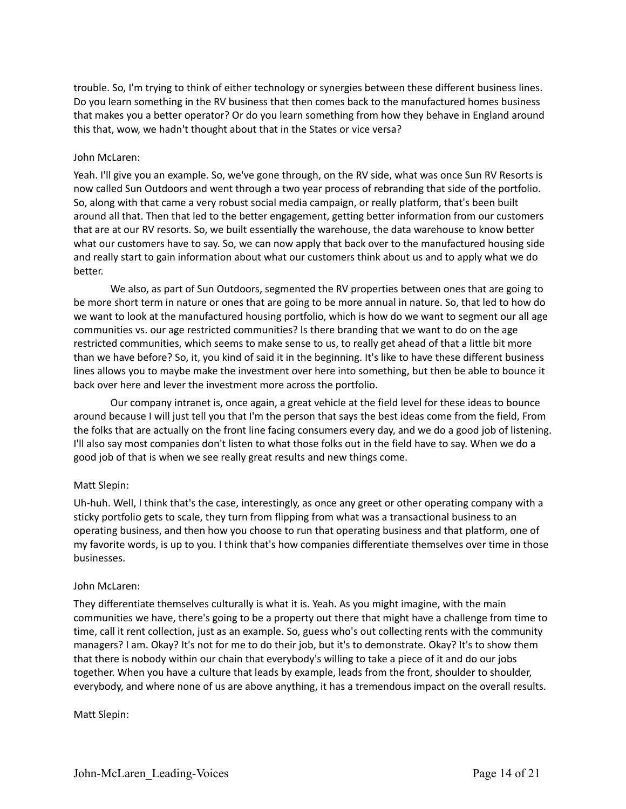trouble. So, I'm trying to think of either technology or synergies between these different business lines. Do you learn something in the RV business that then comes back to the manufactured homes business that makes you a better operator? Or do you learn something from how they behave in England around this that, wow, we hadn't thought about that in the States or vice versa?

# John McLaren:

Yeah. I'll give you an example. So, we've gone through, on the RV side, what was once Sun RV Resorts is now called Sun Outdoors and went through a two year process of rebranding that side of the portfolio. So, along with that came a very robust social media campaign, or really platform, that's been built around all that. Then that led to the better engagement, getting better information from our customers that are at our RV resorts. So, we built essentially the warehouse, the data warehouse to know better what our customers have to say. So, we can now apply that back over to the manufactured housing side and really start to gain information about what our customers think about us and to apply what we do better.

We also, as part of Sun Outdoors, segmented the RV properties between ones that are going to be more short term in nature or ones that are going to be more annual in nature. So, that led to how do we want to look at the manufactured housing portfolio, which is how do we want to segment our all age communities vs. our age restricted communities? Is there branding that we want to do on the age restricted communities, which seems to make sense to us, to really get ahead of that a little bit more than we have before? So, it, you kind of said it in the beginning. It's like to have these different business lines allows you to maybe make the investment over here into something, but then be able to bounce it back over here and lever the investment more across the portfolio.

Our company intranet is, once again, a great vehicle at the field level for these ideas to bounce around because I will just tell you that I'm the person that says the best ideas come from the field, From the folks that are actually on the front line facing consumers every day, and we do a good job of listening. I'll also say most companies don't listen to what those folks out in the field have to say. When we do a good job of that is when we see really great results and new things come.

# Matt Slepin:

Uh-huh. Well, I think that's the case, interestingly, as once any greet or other operating company with a sticky portfolio gets to scale, they turn from flipping from what was a transactional business to an operating business, and then how you choose to run that operating business and that platform, one of my favorite words, is up to you. I think that's how companies differentiate themselves over time in those businesses.

# John McLaren:

They differentiate themselves culturally is what it is. Yeah. As you might imagine, with the main communities we have, there's going to be a property out there that might have a challenge from time to time, call it rent collection, just as an example. So, guess who's out collecting rents with the community managers? I am. Okay? It's not for me to do their job, but it's to demonstrate. Okay? It's to show them that there is nobody within our chain that everybody's willing to take a piece of it and do our jobs together. When you have a culture that leads by example, leads from the front, shoulder to shoulder, everybody, and where none of us are above anything, it has a tremendous impact on the overall results.

Matt Slepin: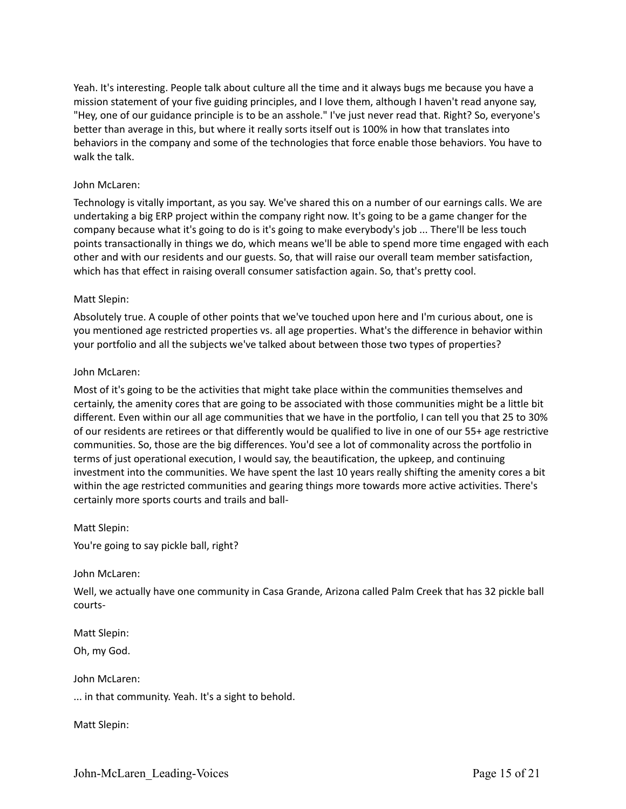Yeah. It's interesting. People talk about culture all the time and it always bugs me because you have a mission statement of your five guiding principles, and I love them, although I haven't read anyone say, "Hey, one of our guidance principle is to be an asshole." I've just never read that. Right? So, everyone's better than average in this, but where it really sorts itself out is 100% in how that translates into behaviors in the company and some of the technologies that force enable those behaviors. You have to walk the talk.

# John McLaren:

Technology is vitally important, as you say. We've shared this on a number of our earnings calls. We are undertaking a big ERP project within the company right now. It's going to be a game changer for the company because what it's going to do is it's going to make everybody's job ... There'll be less touch points transactionally in things we do, which means we'll be able to spend more time engaged with each other and with our residents and our guests. So, that will raise our overall team member satisfaction, which has that effect in raising overall consumer satisfaction again. So, that's pretty cool.

# Matt Slepin:

Absolutely true. A couple of other points that we've touched upon here and I'm curious about, one is you mentioned age restricted properties vs. all age properties. What's the difference in behavior within your portfolio and all the subjects we've talked about between those two types of properties?

### John McLaren:

Most of it's going to be the activities that might take place within the communities themselves and certainly, the amenity cores that are going to be associated with those communities might be a little bit different. Even within our all age communities that we have in the portfolio, I can tell you that 25 to 30% of our residents are retirees or that differently would be qualified to live in one of our 55+ age restrictive communities. So, those are the big differences. You'd see a lot of commonality across the portfolio in terms of just operational execution, I would say, the beautification, the upkeep, and continuing investment into the communities. We have spent the last 10 years really shifting the amenity cores a bit within the age restricted communities and gearing things more towards more active activities. There's certainly more sports courts and trails and ball-

#### Matt Slepin:

You're going to say pickle ball, right?

#### John McLaren:

Well, we actually have one community in Casa Grande, Arizona called Palm Creek that has 32 pickle ball courts-

Matt Slepin:

Oh, my God.

John McLaren:

... in that community. Yeah. It's a sight to behold.

Matt Slepin: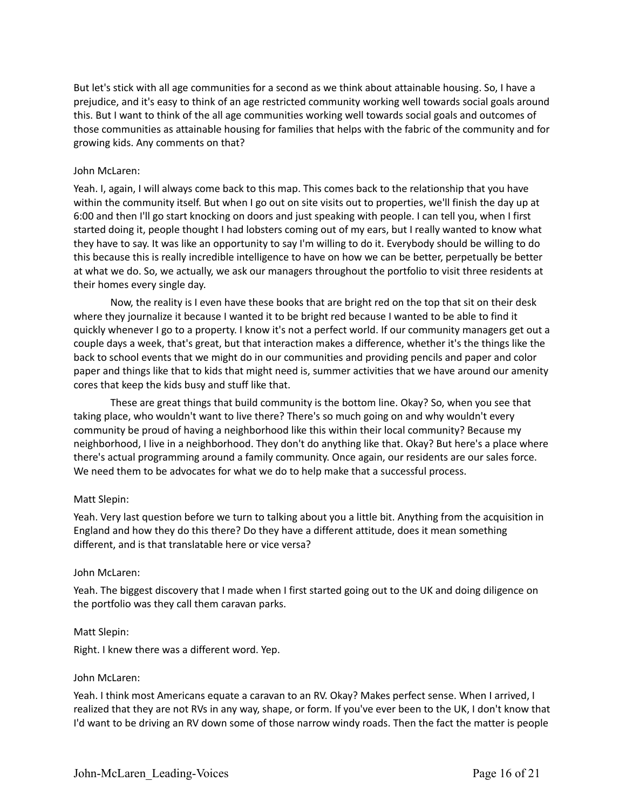But let's stick with all age communities for a second as we think about attainable housing. So, I have a prejudice, and it's easy to think of an age restricted community working well towards social goals around this. But I want to think of the all age communities working well towards social goals and outcomes of those communities as attainable housing for families that helps with the fabric of the community and for growing kids. Any comments on that?

### John McLaren:

Yeah. I, again, I will always come back to this map. This comes back to the relationship that you have within the community itself. But when I go out on site visits out to properties, we'll finish the day up at 6:00 and then I'll go start knocking on doors and just speaking with people. I can tell you, when I first started doing it, people thought I had lobsters coming out of my ears, but I really wanted to know what they have to say. It was like an opportunity to say I'm willing to do it. Everybody should be willing to do this because this is really incredible intelligence to have on how we can be better, perpetually be better at what we do. So, we actually, we ask our managers throughout the portfolio to visit three residents at their homes every single day.

Now, the reality is I even have these books that are bright red on the top that sit on their desk where they journalize it because I wanted it to be bright red because I wanted to be able to find it quickly whenever I go to a property. I know it's not a perfect world. If our community managers get out a couple days a week, that's great, but that interaction makes a difference, whether it's the things like the back to school events that we might do in our communities and providing pencils and paper and color paper and things like that to kids that might need is, summer activities that we have around our amenity cores that keep the kids busy and stuff like that.

These are great things that build community is the bottom line. Okay? So, when you see that taking place, who wouldn't want to live there? There's so much going on and why wouldn't every community be proud of having a neighborhood like this within their local community? Because my neighborhood, I live in a neighborhood. They don't do anything like that. Okay? But here's a place where there's actual programming around a family community. Once again, our residents are our sales force. We need them to be advocates for what we do to help make that a successful process.

#### Matt Slepin:

Yeah. Very last question before we turn to talking about you a little bit. Anything from the acquisition in England and how they do this there? Do they have a different attitude, does it mean something different, and is that translatable here or vice versa?

#### John McLaren:

Yeah. The biggest discovery that I made when I first started going out to the UK and doing diligence on the portfolio was they call them caravan parks.

#### Matt Slepin:

Right. I knew there was a different word. Yep.

#### John McLaren:

Yeah. I think most Americans equate a caravan to an RV. Okay? Makes perfect sense. When I arrived, I realized that they are not RVs in any way, shape, or form. If you've ever been to the UK, I don't know that I'd want to be driving an RV down some of those narrow windy roads. Then the fact the matter is people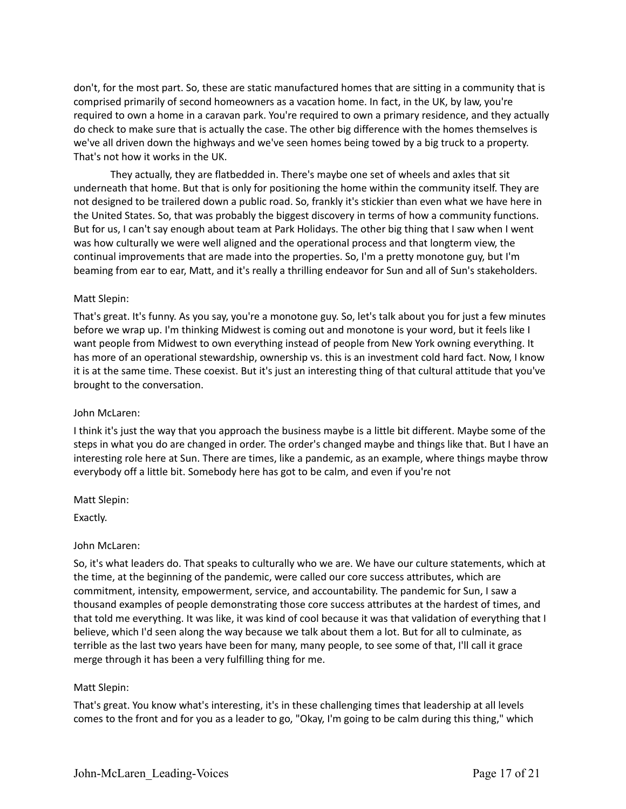don't, for the most part. So, these are static manufactured homes that are sitting in a community that is comprised primarily of second homeowners as a vacation home. In fact, in the UK, by law, you're required to own a home in a caravan park. You're required to own a primary residence, and they actually do check to make sure that is actually the case. The other big difference with the homes themselves is we've all driven down the highways and we've seen homes being towed by a big truck to a property. That's not how it works in the UK.

They actually, they are flatbedded in. There's maybe one set of wheels and axles that sit underneath that home. But that is only for positioning the home within the community itself. They are not designed to be trailered down a public road. So, frankly it's stickier than even what we have here in the United States. So, that was probably the biggest discovery in terms of how a community functions. But for us, I can't say enough about team at Park Holidays. The other big thing that I saw when I went was how culturally we were well aligned and the operational process and that longterm view, the continual improvements that are made into the properties. So, I'm a pretty monotone guy, but I'm beaming from ear to ear, Matt, and it's really a thrilling endeavor for Sun and all of Sun's stakeholders.

# Matt Slepin:

That's great. It's funny. As you say, you're a monotone guy. So, let's talk about you for just a few minutes before we wrap up. I'm thinking Midwest is coming out and monotone is your word, but it feels like I want people from Midwest to own everything instead of people from New York owning everything. It has more of an operational stewardship, ownership vs. this is an investment cold hard fact. Now, I know it is at the same time. These coexist. But it's just an interesting thing of that cultural attitude that you've brought to the conversation.

# John McLaren:

I think it's just the way that you approach the business maybe is a little bit different. Maybe some of the steps in what you do are changed in order. The order's changed maybe and things like that. But I have an interesting role here at Sun. There are times, like a pandemic, as an example, where things maybe throw everybody off a little bit. Somebody here has got to be calm, and even if you're not

Matt Slepin:

Exactly.

# John McLaren:

So, it's what leaders do. That speaks to culturally who we are. We have our culture statements, which at the time, at the beginning of the pandemic, were called our core success attributes, which are commitment, intensity, empowerment, service, and accountability. The pandemic for Sun, I saw a thousand examples of people demonstrating those core success attributes at the hardest of times, and that told me everything. It was like, it was kind of cool because it was that validation of everything that I believe, which I'd seen along the way because we talk about them a lot. But for all to culminate, as terrible as the last two years have been for many, many people, to see some of that, I'll call it grace merge through it has been a very fulfilling thing for me.

# Matt Slepin:

That's great. You know what's interesting, it's in these challenging times that leadership at all levels comes to the front and for you as a leader to go, "Okay, I'm going to be calm during this thing," which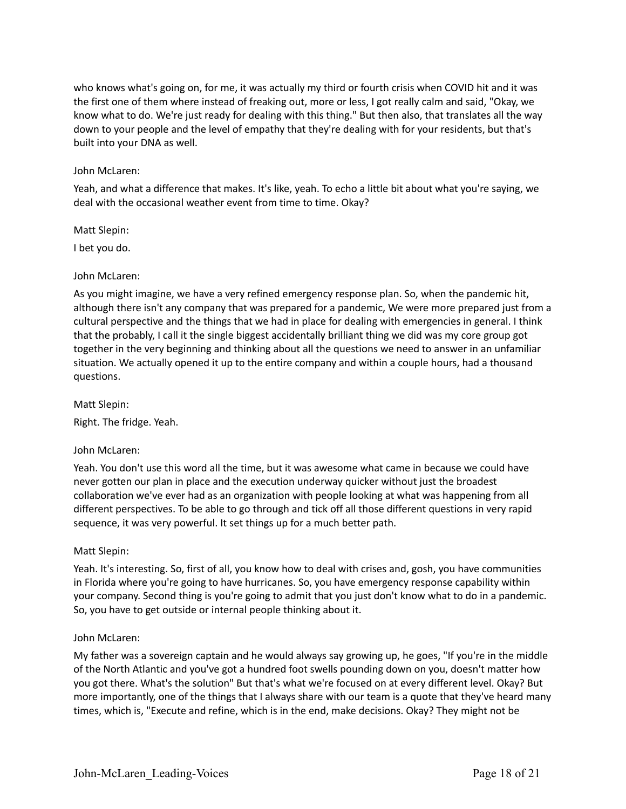who knows what's going on, for me, it was actually my third or fourth crisis when COVID hit and it was the first one of them where instead of freaking out, more or less, I got really calm and said, "Okay, we know what to do. We're just ready for dealing with this thing." But then also, that translates all the way down to your people and the level of empathy that they're dealing with for your residents, but that's built into your DNA as well.

# John McLaren:

Yeah, and what a difference that makes. It's like, yeah. To echo a little bit about what you're saying, we deal with the occasional weather event from time to time. Okay?

Matt Slepin:

I bet you do.

### John McLaren:

As you might imagine, we have a very refined emergency response plan. So, when the pandemic hit, although there isn't any company that was prepared for a pandemic, We were more prepared just from a cultural perspective and the things that we had in place for dealing with emergencies in general. I think that the probably, I call it the single biggest accidentally brilliant thing we did was my core group got together in the very beginning and thinking about all the questions we need to answer in an unfamiliar situation. We actually opened it up to the entire company and within a couple hours, had a thousand questions.

Matt Slepin:

Right. The fridge. Yeah.

# John McLaren:

Yeah. You don't use this word all the time, but it was awesome what came in because we could have never gotten our plan in place and the execution underway quicker without just the broadest collaboration we've ever had as an organization with people looking at what was happening from all different perspectives. To be able to go through and tick off all those different questions in very rapid sequence, it was very powerful. It set things up for a much better path.

# Matt Slepin:

Yeah. It's interesting. So, first of all, you know how to deal with crises and, gosh, you have communities in Florida where you're going to have hurricanes. So, you have emergency response capability within your company. Second thing is you're going to admit that you just don't know what to do in a pandemic. So, you have to get outside or internal people thinking about it.

#### John McLaren:

My father was a sovereign captain and he would always say growing up, he goes, "If you're in the middle of the North Atlantic and you've got a hundred foot swells pounding down on you, doesn't matter how you got there. What's the solution" But that's what we're focused on at every different level. Okay? But more importantly, one of the things that I always share with our team is a quote that they've heard many times, which is, "Execute and refine, which is in the end, make decisions. Okay? They might not be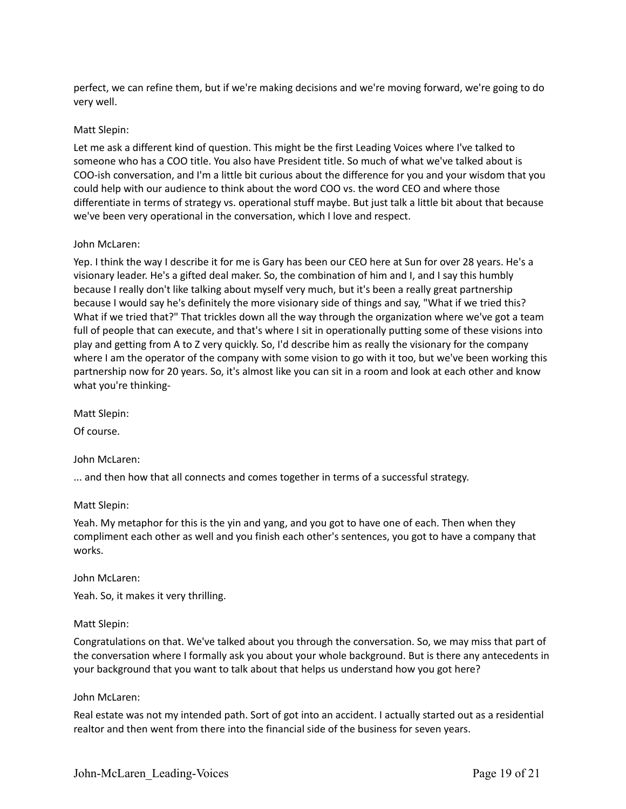perfect, we can refine them, but if we're making decisions and we're moving forward, we're going to do very well.

### Matt Slepin:

Let me ask a different kind of question. This might be the first Leading Voices where I've talked to someone who has a COO title. You also have President title. So much of what we've talked about is COO-ish conversation, and I'm a little bit curious about the difference for you and your wisdom that you could help with our audience to think about the word COO vs. the word CEO and where those differentiate in terms of strategy vs. operational stuff maybe. But just talk a little bit about that because we've been very operational in the conversation, which I love and respect.

### John McLaren:

Yep. I think the way I describe it for me is Gary has been our CEO here at Sun for over 28 years. He's a visionary leader. He's a gifted deal maker. So, the combination of him and I, and I say this humbly because I really don't like talking about myself very much, but it's been a really great partnership because I would say he's definitely the more visionary side of things and say, "What if we tried this? What if we tried that?" That trickles down all the way through the organization where we've got a team full of people that can execute, and that's where I sit in operationally putting some of these visions into play and getting from A to Z very quickly. So, I'd describe him as really the visionary for the company where I am the operator of the company with some vision to go with it too, but we've been working this partnership now for 20 years. So, it's almost like you can sit in a room and look at each other and know what you're thinking-

Matt Slepin:

Of course.

John McLaren:

... and then how that all connects and comes together in terms of a successful strategy.

#### Matt Slepin:

Yeah. My metaphor for this is the yin and yang, and you got to have one of each. Then when they compliment each other as well and you finish each other's sentences, you got to have a company that works.

John McLaren:

Yeah. So, it makes it very thrilling.

#### Matt Slepin:

Congratulations on that. We've talked about you through the conversation. So, we may miss that part of the conversation where I formally ask you about your whole background. But is there any antecedents in your background that you want to talk about that helps us understand how you got here?

#### John McLaren:

Real estate was not my intended path. Sort of got into an accident. I actually started out as a residential realtor and then went from there into the financial side of the business for seven years.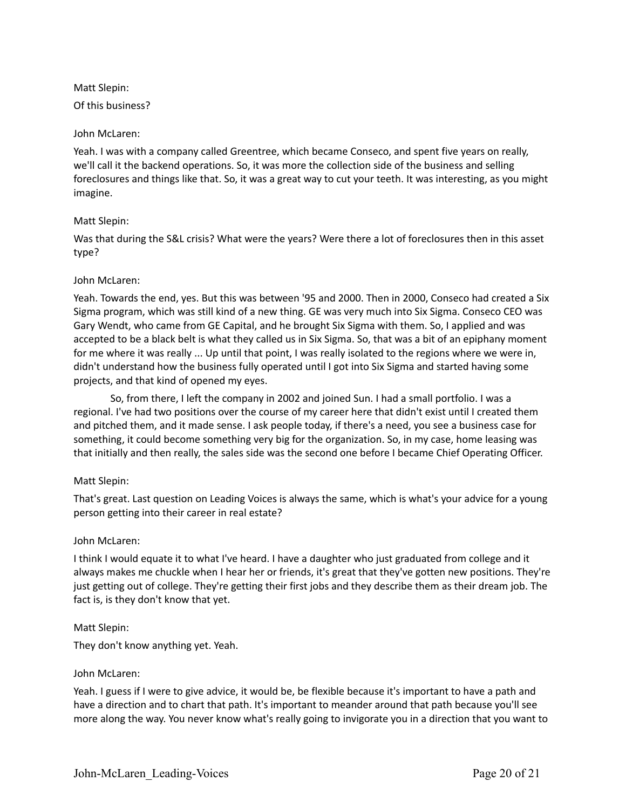Matt Slepin: Of this business?

### John McLaren:

Yeah. I was with a company called Greentree, which became Conseco, and spent five years on really, we'll call it the backend operations. So, it was more the collection side of the business and selling foreclosures and things like that. So, it was a great way to cut your teeth. It was interesting, as you might imagine.

# Matt Slepin:

Was that during the S&L crisis? What were the years? Were there a lot of foreclosures then in this asset type?

### John McLaren:

Yeah. Towards the end, yes. But this was between '95 and 2000. Then in 2000, Conseco had created a Six Sigma program, which was still kind of a new thing. GE was very much into Six Sigma. Conseco CEO was Gary Wendt, who came from GE Capital, and he brought Six Sigma with them. So, I applied and was accepted to be a black belt is what they called us in Six Sigma. So, that was a bit of an epiphany moment for me where it was really ... Up until that point, I was really isolated to the regions where we were in, didn't understand how the business fully operated until I got into Six Sigma and started having some projects, and that kind of opened my eyes.

So, from there, I left the company in 2002 and joined Sun. I had a small portfolio. I was a regional. I've had two positions over the course of my career here that didn't exist until I created them and pitched them, and it made sense. I ask people today, if there's a need, you see a business case for something, it could become something very big for the organization. So, in my case, home leasing was that initially and then really, the sales side was the second one before I became Chief Operating Officer.

# Matt Slepin:

That's great. Last question on Leading Voices is always the same, which is what's your advice for a young person getting into their career in real estate?

#### John McLaren:

I think I would equate it to what I've heard. I have a daughter who just graduated from college and it always makes me chuckle when I hear her or friends, it's great that they've gotten new positions. They're just getting out of college. They're getting their first jobs and they describe them as their dream job. The fact is, is they don't know that yet.

#### Matt Slepin:

They don't know anything yet. Yeah.

#### John McLaren:

Yeah. I guess if I were to give advice, it would be, be flexible because it's important to have a path and have a direction and to chart that path. It's important to meander around that path because you'll see more along the way. You never know what's really going to invigorate you in a direction that you want to